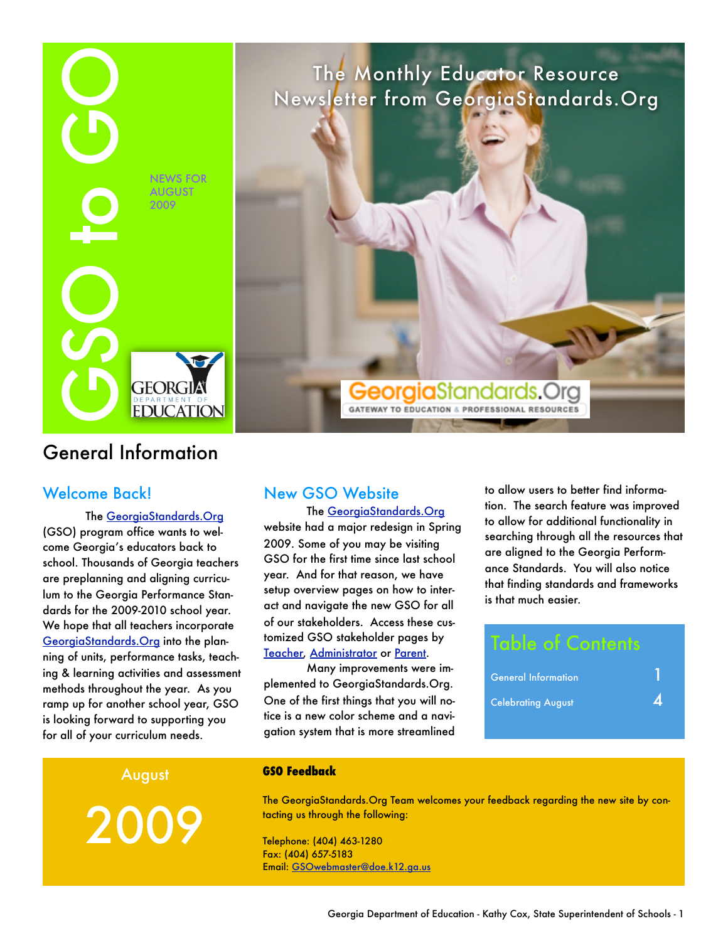

# General Information

### Welcome Back!

The [GeorgiaStandards.Org](http://www.georgiastandards.org/) (GSO) program office wants to welcome Georgia's educators back to school. Thousands of Georgia teachers are preplanning and aligning curriculum to the Georgia Performance Standards for the 2009-2010 school year. We hope that all teachers incorporate [GeorgiaStandards.Org](http://www.georgiastandards.org/) into the planning of units, performance tasks, teaching & learning activities and assessment methods throughout the year. As you ramp up for another school year, GSO is looking forward to supporting you for all of your curriculum needs.

### New GSO Website

The [GeorgiaStandards.Org](http://www.georgiastandards.org/)

website had a major redesign in Spring 2009. Some of you may be visiting GSO for the first time since last school year. And for that reason, we have setup overview pages on how to interact and navigate the new GSO for all of our stakeholders. Access these customized GSO stakeholder pages by [Teacher,](http://www.georgiastandards.org/Pages/teachers.aspx) [Administrator](http://www.georgiastandards.org/Pages/Administrators.aspx) or [Parent](http://www.georgiastandards.org/Pages/Parents.aspx).

Many improvements were implemented to GeorgiaStandards.Org. One of the first things that you will notice is a new color scheme and a navigation system that is more streamlined to allow users to better find information. The search feature was improved to allow for additional functionality in searching through all the resources that are aligned to the Georgia Performance Standards. You will also notice that finding standards and frameworks is that much easier.

# Table of Contents General Information 1  $\mathsf{C}$ elebrating August  $\mathcal{A}$

August

2009

#### **GSO Feedback**

The GeorgiaStandards.Org Team welcomes your feedback regarding the new site by contacting us through the following:

The Monthly Educator Resource Newsletter from GeorgiaStandards.Org

**Georgia**Standards.Org

**GATEWAY TO EDUCATION & PROFESSIONAL RESOURCES** 

Telephone: (404) 463-1280 Fax: (404) 657-5183 Email: [GSOwebmaster@doe.k12.ga.us](mailto:GSOwebmaster@doe.k12.ga.us?subject=New%20GSO%20Site%20Feedback)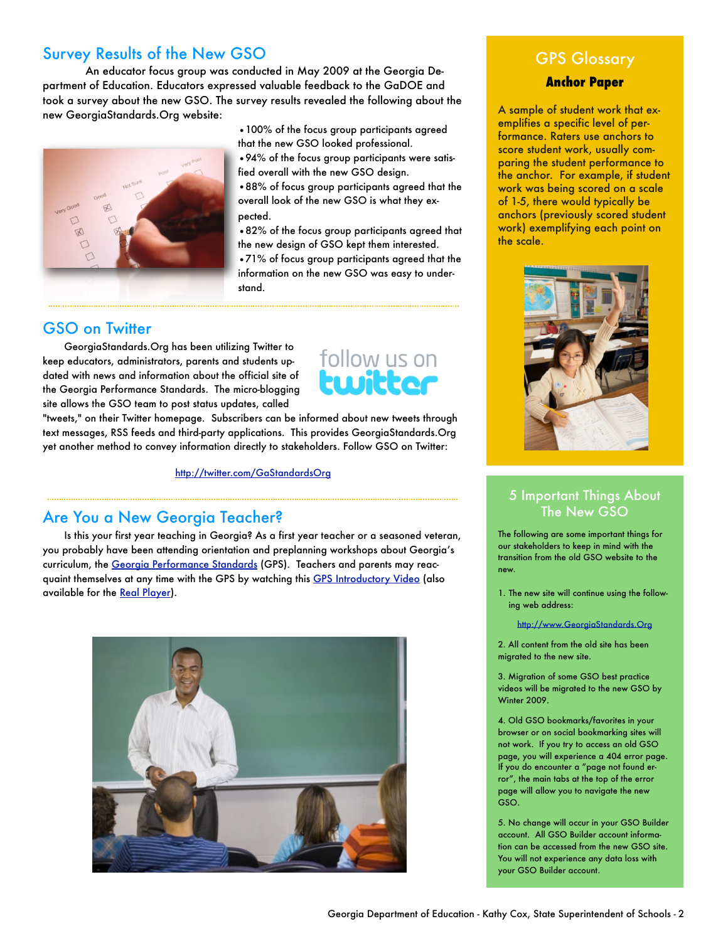# Survey Results of the New GSO

An educator focus group was conducted in May 2009 at the Georgia Department of Education. Educators expressed valuable feedback to the GaDOE and took a survey about the new GSO. The survey results revealed the following about the new GeorgiaStandards.Org website:

pected.

stand.

## GSO on Twitter

GeorgiaStandards.Org has been utilizing Twitter to keep educators, administrators, parents and students updated with news and information about the official site of the Georgia Performance Standards. The micro-blogging site allows the GSO team to post status updates, called



•100% of the focus group participants agreed that the new GSO looked professional.

•94% of the focus group participants were satis-

•88% of focus group participants agreed that the overall look of the new GSO is what they ex-

•82% of the focus group participants agreed that the new design of GSO kept them interested. •71% of focus group participants agreed that the information on the new GSO was easy to under-

fied overall with the new GSO design.

"tweets," on their Twitter homepage. Subscribers can be informed about new tweets through text messages, RSS feeds and third-party applications. This provides GeorgiaStandards.Org yet another method to convey information directly to stakeholders. Follow GSO on Twitter:

<http://twitter.com/GaStandardsOrg>

## Are You a New Georgia Teacher?

Is this your first year teaching in Georgia? As a first year teacher or a seasoned veteran, you probably have been attending orientation and preplanning workshops about Georgia's curriculum, the [Georgia Performance Standards](http://www.georgiastandards.org/Standards/Pages/BrowseStandards/BrowseGPS.aspx) (GPS). Teachers and parents may reac-quaint themselves at any time with the GPS by watching this [GPS Introductory Video](http://mediam1.gpb.org/GA-DOE/qcc/QCC_Overview.wmv) (also available for the [Real Player](http://mediar1.gpb.org/ramgen/doe/DOEQCC_Overview.rm?usehostname)).



# GPS Glossary

#### **Anchor Paper**

A sample of student work that exemplifies a specific level of performance. Raters use anchors to score student work, usually comparing the student performance to the anchor. For example, if student work was being scored on a scale of 1-5, there would typically be anchors (previously scored student work) exemplifying each point on the scale.



### 5 Important Things About The New GSO

The following are some important things for our stakeholders to keep in mind with the transition from the old GSO website to the new.

1. The new site will continue using the following web address:

<http://www.GeorgiaStandards.Org>

2. All content from the old site has been migrated to the new site.

3. Migration of some GSO best practice videos will be migrated to the new GSO by Winter 2009.

4. Old GSO bookmarks/favorites in your browser or on social bookmarking sites will not work. If you try to access an old GSO page, you will experience a 404 error page. If you do encounter a "page not found error", the main tabs at the top of the error page will allow you to navigate the new GSO.

5. No change will occur in your GSO Builder account. All GSO Builder account information can be accessed from the new GSO site. You will not experience any data loss with your GSO Builder account.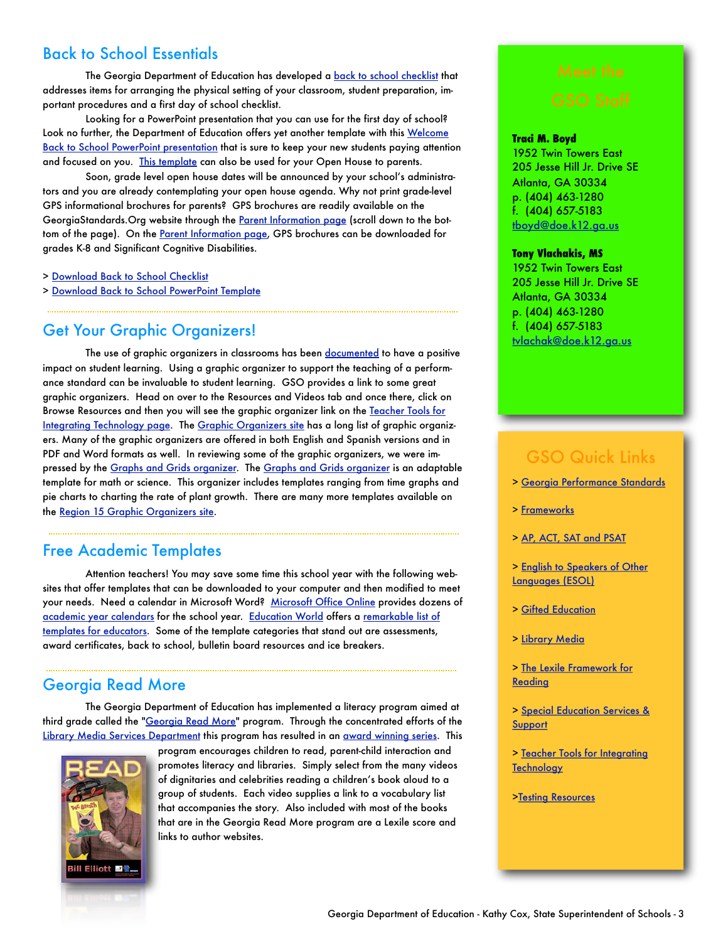## Back to School Essentials

The Georgia Department of Education has developed a [back to school checklist](http://www.georgiastandards.org/Documents/Back-to-School-Checklist.pdf) that addresses items for arranging the physical setting of your classroom, student preparation, important procedures and a first day of school checklist.

Looking for a PowerPoint presentation that you can use for the first day of school? Look no further, the Department of Education offers yet another template with this Welcome [Back to School PowerPoint presentation](http://www.georgiastandards.org/Documents/Welcome-Back-to-School-PowerPoint.ppt) that is sure to keep your new students paying attention and focused on you. [This template](http://www.georgiastandards.org/Documents/Welcome-Back-to-School-PowerPoint.ppt) can also be used for your Open House to parents.

Soon, grade level open house dates will be announced by your school's administrators and you are already contemplating your open house agenda. Why not print grade-level GPS informational brochures for parents? GPS brochures are readily available on the GeorgiaStandards. Org website through the [Parent Information page](http://www.georgiastandards.org/Pages/Parents.aspx) (scroll down to the bot-tom of the page). On the [Parent Information page,](http://www.georgiastandards.org/Pages/Parents.aspx) GPS brochures can be downloaded for grades K-8 and Significant Cognitive Disabilities.

> [Download Back to School Checklist](http://www.georgiastandards.org/Documents/Back-to-School-Checklist.pdf)

> [Download Back to School PowerPoint Template](http://www.georgiastandards.org/Documents/Welcome-Back-to-School-PowerPoint.ppt)

### Get Your Graphic Organizers!

The use of graphic organizers in classrooms has been [documented](http://www.indiana.edu/~reading/ieo/bibs/graphsec.html) to have a positive impact on student learning. Using a graphic organizer to support the teaching of a performance standard can be invaluable to student learning. GSO provides a link to some great graphic organizers. Head on over to the Resources and Videos tab and once there, click on Browse Resources and then you will see the graphic organizer link on the [Teacher Tools for](http://www.georgiastandards.org/Resources/Pages/Tools/toolsandlinks.aspx)  [Integrating Technology page](http://www.georgiastandards.org/Resources/Pages/Tools/toolsandlinks.aspx). The [Graphic Organizers site](http://www.region15.org/curriculum/graphicorg.html) has a long list of graphic organizers. Many of the graphic organizers are offered in both English and Spanish versions and in PDF and Word formats as well. In reviewing some of the graphic organizers, we were impressed by the [Graphs and Grids organizer.](http://www.region15.org/curriculum/gridgraph.doc) The [Graphs and Grids organizer](http://www.region15.org/curriculum/gridgraph.doc) is an adaptable template for math or science. This organizer includes templates ranging from time graphs and pie charts to charting the rate of plant growth. There are many more templates available on the [Region 15 Graphic Organizers site.](http://www.region15.org/curriculum/graphicorg.html)

### Free Academic Templates

Attention teachers! You may save some time this school year with the following websites that offer templates that can be downloaded to your computer and then modified to meet your needs. Need a calendar in Microsoft Word? [Microsoft Office Online](http://office.microsoft.com/en-us/templates/CT101424881033.aspx?ofcresset=1) provides dozens of [academic year calendars](http://office.microsoft.com/en-us/templates/CT101424881033.aspx) for the school year. [Education World](http://www.education-world.com/index.shtml) offers a remarkable list of [templates for educators](http://www.education-world.com/tools_templates/index.shtml). Some of the template categories that stand out are assessments, award certificates, back to school, bulletin board resources and ice breakers.

# Georgia Read More

The Georgia Department of Education has implemented a literacy program aimed at third grade called the ["Georgia Read More](http://public.doe.k12.ga.us/pea_communications.aspx?ViewMode=1&obj=982)" program. Through the concentrated efforts of the [Library Media Services Department](http://public.doe.k12.ga.us/sia_as_library.aspx) this program has resulted in an [award winning series.](http://public.doe.k12.ga.us/it.aspx?PageReq=ITReadMore) This



program encourages children to read, parent-child interaction and promotes literacy and libraries. Simply select from the many videos of dignitaries and celebrities reading a children's book aloud to a group of students. Each video supplies a link to a vocabulary list that accompanies the story. Also included with most of the books that are in the Georgia Read More program are a Lexile score and links to author websites.

#### **Traci M. Boyd**

1952 Twin Towers East 205 Jesse Hill Jr. Drive SE Atlanta, GA 30334 p. (404) 463-1280 f. (404) 657-5183 [tboyd@doe.k12.ga.us](mailto:tboyd@doe.k12.ga.us?subject=GSO%20to%20GO%20Comments)

#### **Tony Vlachakis, MS**

1952 Twin Towers East 205 Jesse Hill Jr. Drive SE Atlanta, GA 30334 p. (404) 463-1280 f. (404) 657-5183 [tvlachak@doe.k12.ga.us](mailto:tvlachak@doe.k12.ga.us?subject=GSO%20to%20GO%20Comments)

# GSO Quick Links

- > [Georgia Performance Standards](https://www.georgiastandards.org/standards/Pages/BrowseStandards/BrowseGPS.aspx)
- > [Frameworks](https://www.georgiastandards.org/Frameworks/Pages/BrowseFrameworks/Frameworks.aspx)
- > [AP, ACT, SAT and PSAT](https://www.georgiastandards.org/resources/Pages/Tools/AP_ACT_SAT_PSAT.aspx)
- > [English to Speakers of Other](https://www.georgiastandards.org/resources/Pages/Tools/ESOL.aspx)  [Languages \(ESOL\)](https://www.georgiastandards.org/resources/Pages/Tools/ESOL.aspx)
- > [Gifted Education](https://www.georgiastandards.org/resources/Pages/Tools/GiftedEd.aspx)
- > [Library Media](https://www.georgiastandards.org/resources/Pages/Tools/LibraryMedia.aspx)
- > [The Lexile Framework for](http://www.georgiastandards.org/Resources/Pages/Tools/LexileFrameworkforReading.aspx)  [Reading](http://www.georgiastandards.org/Resources/Pages/Tools/LexileFrameworkforReading.aspx)
- > [Special Education Services &](https://www.georgiastandards.org/resources/Pages/Tools/SpecialEd.aspx)  [Support](https://www.georgiastandards.org/resources/Pages/Tools/SpecialEd.aspx)
- > [Teacher Tools for Integrating](https://www.georgiastandards.org/resources/Pages/Tools/ToolsandLinks.aspx)  **[Technology](https://www.georgiastandards.org/resources/Pages/Tools/ToolsandLinks.aspx)**
- [>Testing Resources](https://www.georgiastandards.org/resources/Pages/Tools/TestingResources.aspx)